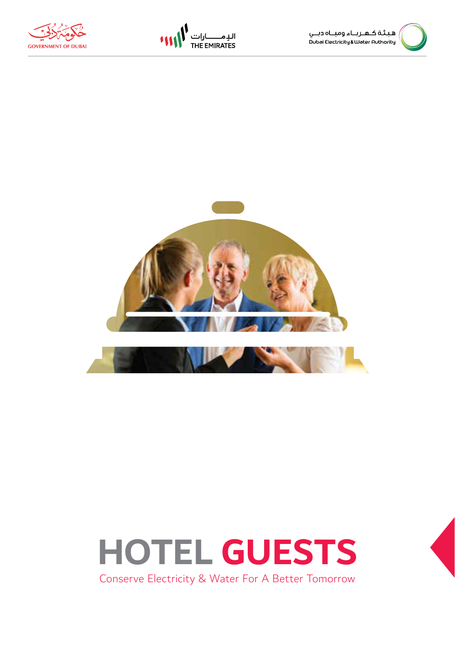





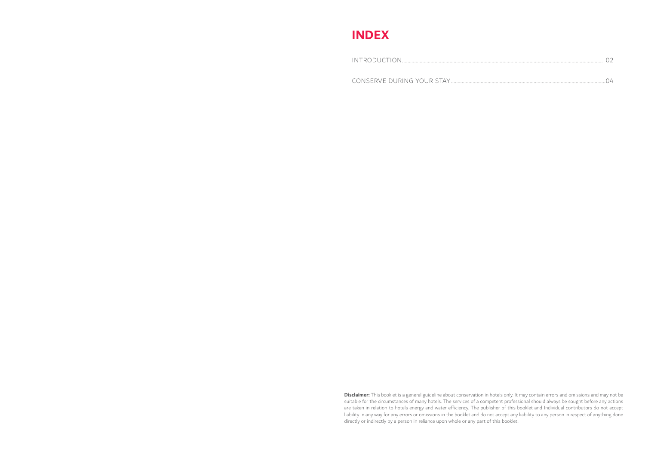## **INDEX**

**Disclaimer:** This booklet is a general guideline about conservation in hotels only. It may contain errors and omissions and may not be suitable for the circumstances of many hotels. The services of a competent professional should always be sought before any actions are taken in relation to hotels energy and water efficiency. The publisher of this booklet and Individual contributors do not accept liability in any way for any errors or omissions in the booklet and do not accept any liability to any person in respect of anything done directly or indirectly by a person in reliance upon whole or any part of this booklet.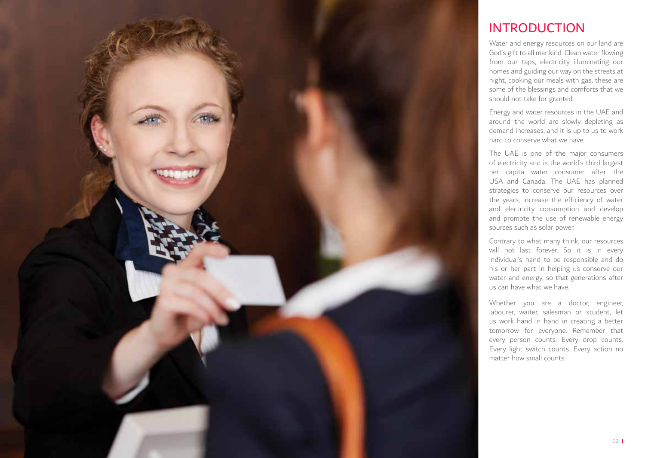

## INTRODUCTION

Water and energy resources on our land are God's gift to all mankind. Clean water flowing from our taps, electricity illuminating our homes and guiding our way on the streets at night, cooking our meals with gas, these are some of the blessings and comforts that we should not take for granted.

Energy and water resources in the UAE and around the world are slowly depleting as demand increases, and it is up to us to work hard to conserve what we have.

The UAE is one of the major consumers of electricity and is the world's third largest per capita water consumer after the USA and Canada. The UAE has planned strategies to conserve our resources over the years, increase the efficiency of water and electricity consumption and develop and promote the use of renewable energy sources such as solar power.

Contrary to what many think, our resources will not last forever. So it is in every individual's hand to be responsible and do his or her part in helping us conserve our water and energy, so that generations after us can have what we have.

Whether you are a doctor, engineer, labourer, waiter, salesman or student, let us work hand in hand in creating a better tomorrow for everyone. Remember that every person counts. Every drop counts. Every light switch counts. Every action no matter how small counts.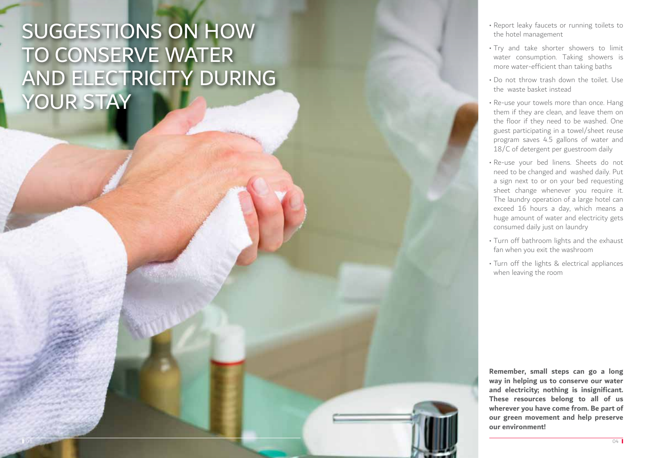## SUGGESTIONS ON HOW TO CONSERVE WATER AND ELECTRICITY DURING YOUR STAY

- Report leaky faucets or running toilets to the hotel management
- Try and take shorter showers to limit water consumption. Taking showers is more water-efficient than taking baths
- Do not throw trash down the toilet. Use the waste basket instead
- Re-use your towels more than once. Hang them if they are clean, and leave them on the floor if they need to be washed. One guest participating in a towel/sheet reuse program saves 4.5 gallons of water and 18/C of detergent per guestroom daily
- Re-use your bed linens. Sheets do not need to be changed and washed daily. Put a sign next to or on your bed requesting sheet change whenever you require it. The laundry operation of a large hotel can exceed 16 hours a day, which means a huge amount of water and electricity gets consumed daily just on laundry
- Turn off bathroom lights and the exhaust fan when you exit the washroom
- Turn off the lights & electrical appliances when leaving the room

**Remember, small steps can go a long way in helping us to conserve our water and electricity; nothing is insignificant. These resources belong to all of us wherever you have come from. Be part of our green movement and help preserve our environment!**